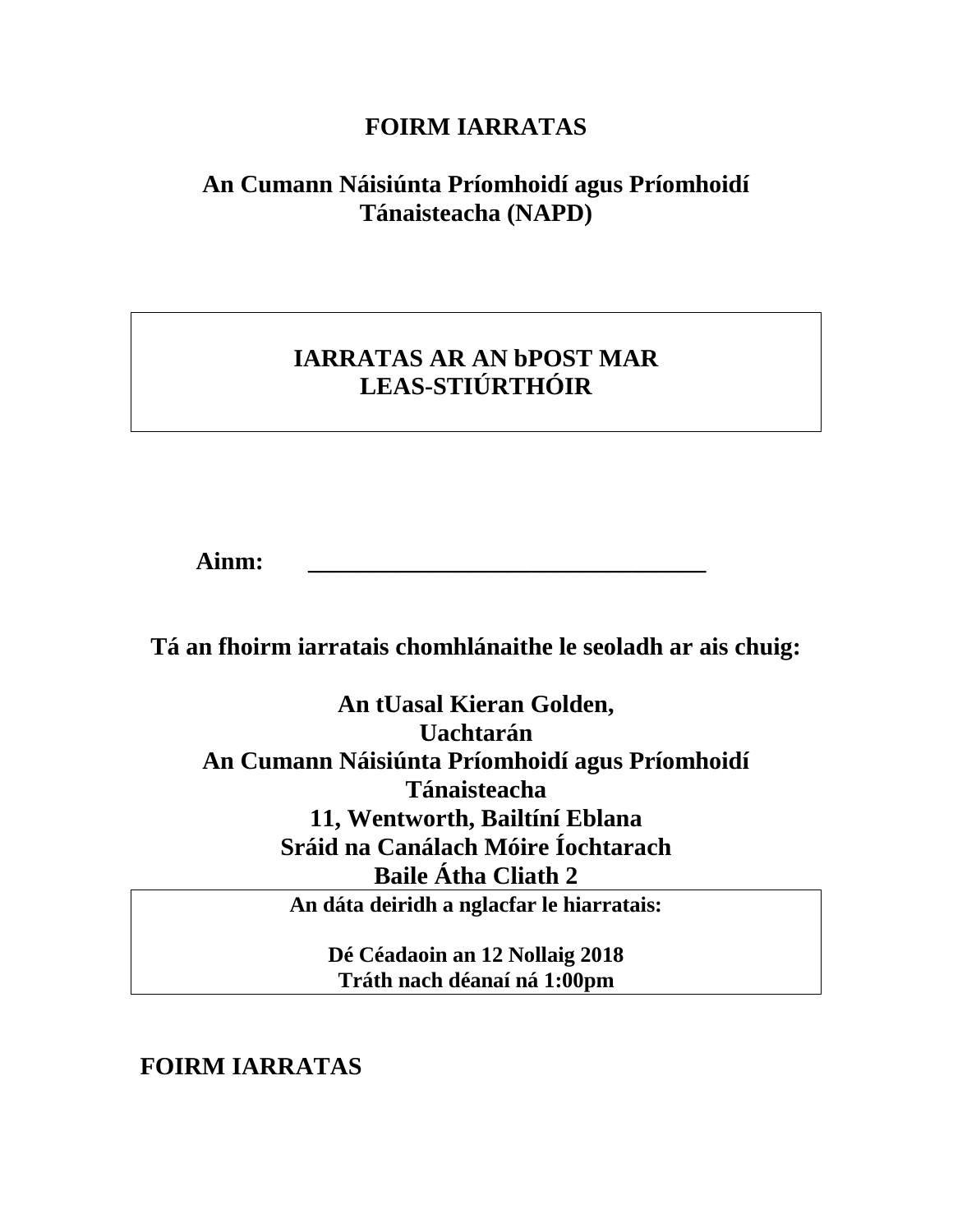## **FOIRM IARRATAS**

# **An Cumann Náisiúnta Príomhoidí agus Príomhoidí Tánaisteacha (NAPD)**

# **IARRATAS AR AN bPOST MAR LEAS-STIÚRTHÓIR**

**Ainm: \_\_\_\_\_\_\_\_\_\_\_\_\_\_\_\_\_\_\_\_\_\_\_\_\_\_\_\_\_\_\_\_**

**Tá an fhoirm iarratais chomhlánaithe le seoladh ar ais chuig:**

**An tUasal Kieran Golden, Uachtarán An Cumann Náisiúnta Príomhoidí agus Príomhoidí Tánaisteacha 11, Wentworth, Bailtíní Eblana Sráid na Canálach Móire Íochtarach Baile Átha Cliath 2**

**An dáta deiridh a nglacfar le hiarratais:**

**Dé Céadaoin an 12 Nollaig 2018 Tráth nach déanaí ná 1:00pm**

**FOIRM IARRATAS**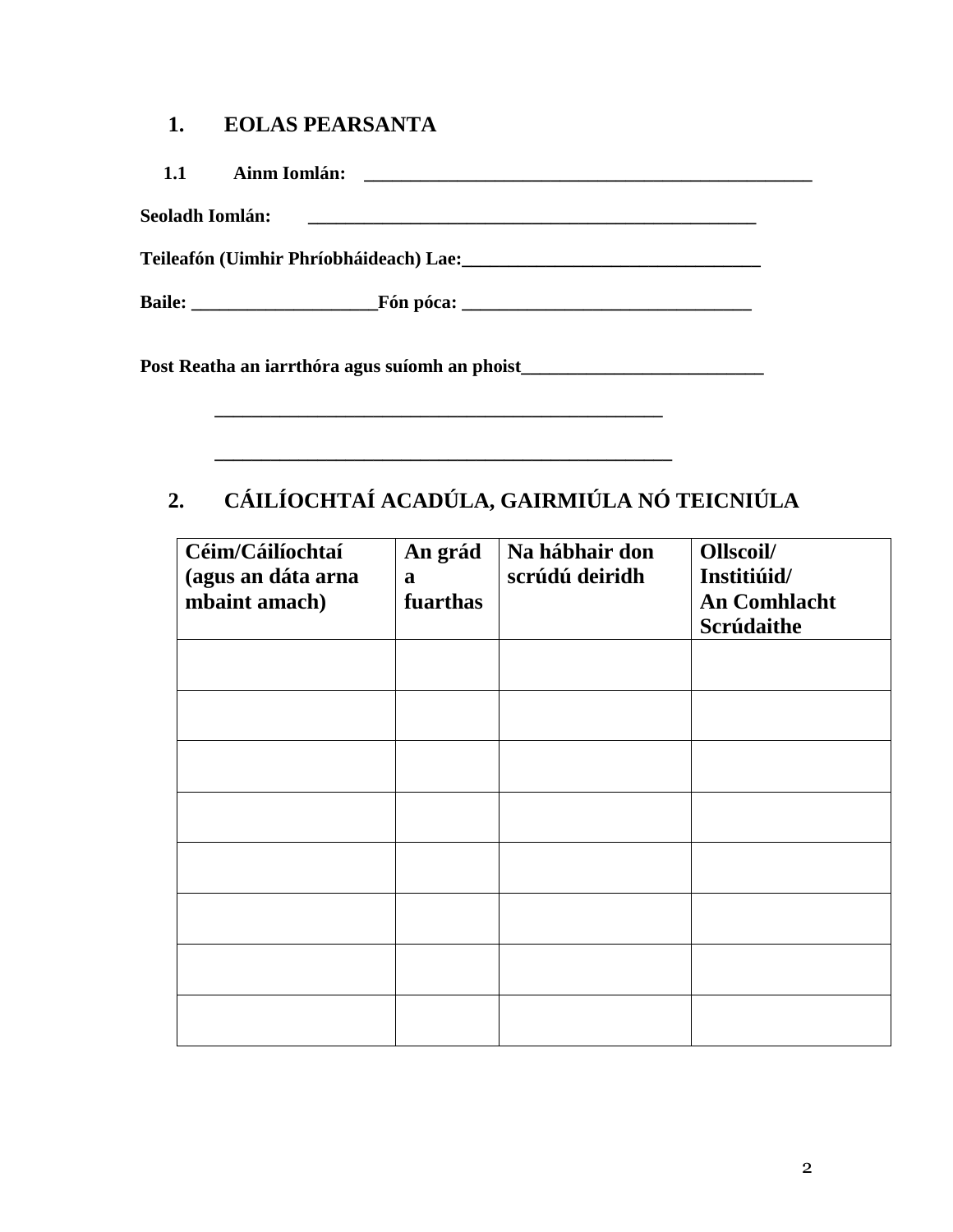#### **1. EOLAS PEARSANTA**

| Seoladh Iomlán: |                                                                                                                                                                                                                                  | <u> Alexandro de la contrada de la contrada de la contrada de la contrada de la contrada de la contrada de la co</u> |  |  |
|-----------------|----------------------------------------------------------------------------------------------------------------------------------------------------------------------------------------------------------------------------------|----------------------------------------------------------------------------------------------------------------------|--|--|
|                 | Teileafón (Uimhir Phríobháideach) Lae:<br>1920 - Marcellin Marcellin, actriz and an american proportional and the control of the control of the control of the control of the control of the control of the control of the contr |                                                                                                                      |  |  |
|                 |                                                                                                                                                                                                                                  |                                                                                                                      |  |  |
|                 | Post Reatha an iarrthóra agus suíomh an phoist___________________________________                                                                                                                                                |                                                                                                                      |  |  |

# **2. CÁILÍOCHTAÍ ACADÚLA, GAIRMIÚLA NÓ TEICNIÚLA**

| Céim/Cáilíochtaí<br>(agus an dáta arna<br>mbaint amach) | An grád<br>$\mathbf{a}$<br>fuarthas | Na hábhair don<br>scrúdú deiridh | Ollscoil/<br>Institiúid/<br><b>An Comhlacht</b><br>Scrúdaithe |
|---------------------------------------------------------|-------------------------------------|----------------------------------|---------------------------------------------------------------|
|                                                         |                                     |                                  |                                                               |
|                                                         |                                     |                                  |                                                               |
|                                                         |                                     |                                  |                                                               |
|                                                         |                                     |                                  |                                                               |
|                                                         |                                     |                                  |                                                               |
|                                                         |                                     |                                  |                                                               |
|                                                         |                                     |                                  |                                                               |
|                                                         |                                     |                                  |                                                               |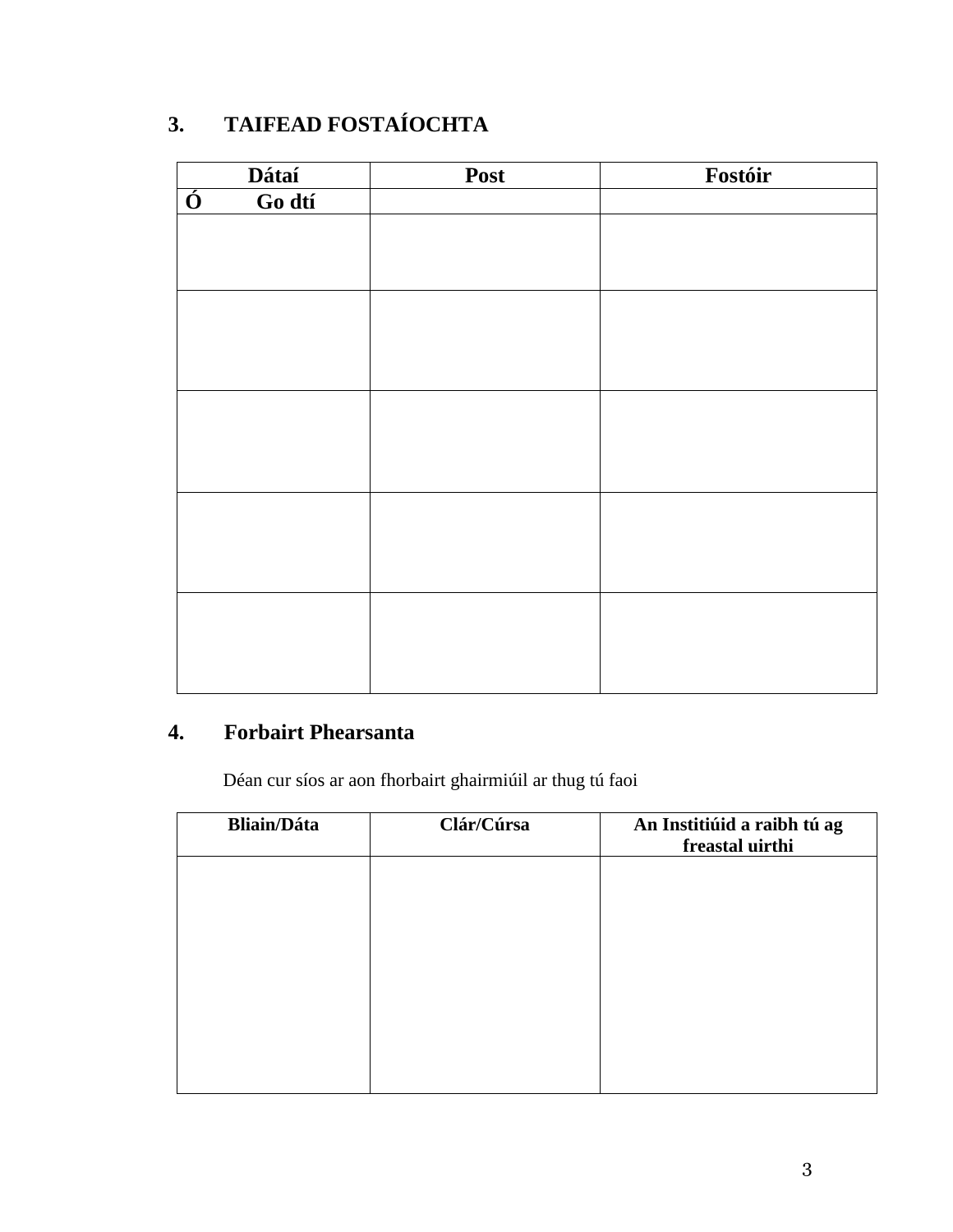# **3. TAIFEAD FOSTAÍOCHTA**

| Dátaí                             | Post | Fostóir |
|-----------------------------------|------|---------|
| Go dtí<br>$\overline{\mathbf{0}}$ |      |         |
|                                   |      |         |
|                                   |      |         |
|                                   |      |         |
|                                   |      |         |
|                                   |      |         |
|                                   |      |         |
|                                   |      |         |
|                                   |      |         |
|                                   |      |         |
|                                   |      |         |
|                                   |      |         |
|                                   |      |         |
|                                   |      |         |
|                                   |      |         |
|                                   |      |         |
|                                   |      |         |
|                                   |      |         |
|                                   |      |         |

## **4. Forbairt Phearsanta**

Déan cur síos ar aon fhorbairt ghairmiúil ar thug tú faoi

| <b>Bliain/Dáta</b> | Clár/Cúrsa | An Institiúid a raibh tú ag<br>freastal uirthi |
|--------------------|------------|------------------------------------------------|
|                    |            |                                                |
|                    |            |                                                |
|                    |            |                                                |
|                    |            |                                                |
|                    |            |                                                |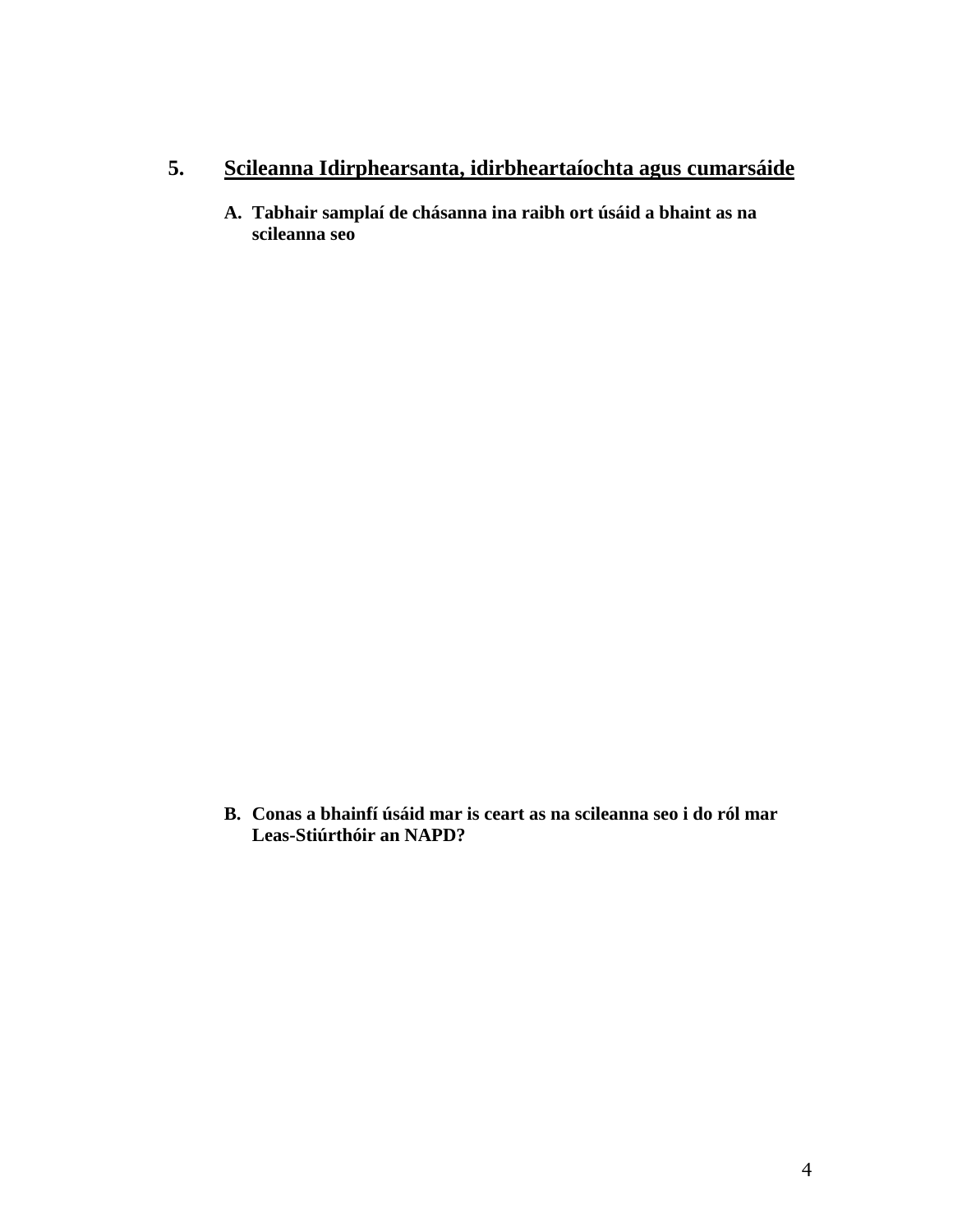### **5. Scileanna Idirphearsanta, idirbheartaíochta agus cumarsáide**

**A. Tabhair samplaí de chásanna ina raibh ort úsáid a bhaint as na scileanna seo**

**B. Conas a bhainfí úsáid mar is ceart as na scileanna seo i do ról mar Leas-Stiúrthóir an NAPD?**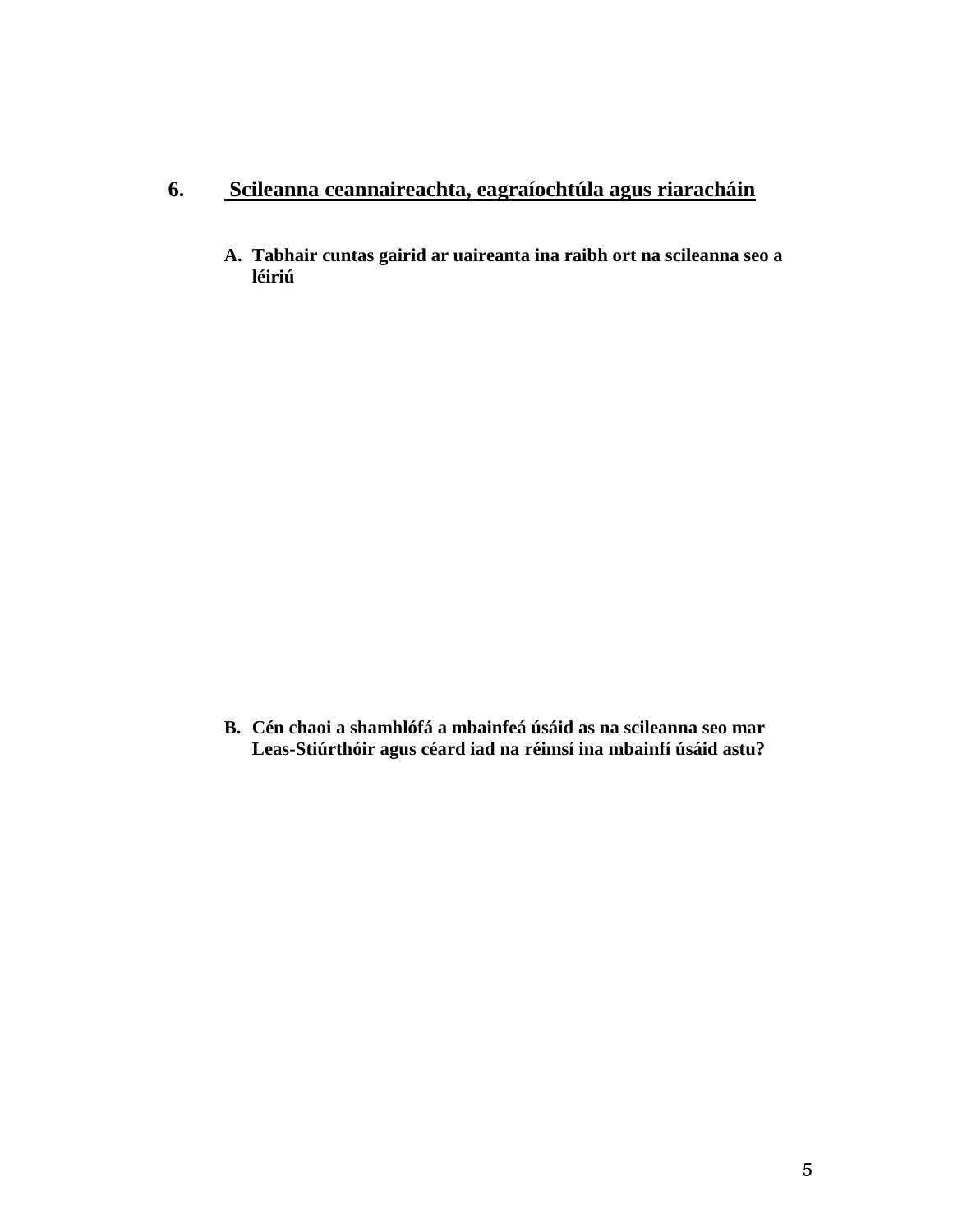### **6. Scileanna ceannaireachta, eagraíochtúla agus riaracháin**

**A. Tabhair cuntas gairid ar uaireanta ina raibh ort na scileanna seo a léiriú**

**B. Cén chaoi a shamhlófá a mbainfeá úsáid as na scileanna seo mar Leas-Stiúrthóir agus céard iad na réimsí ina mbainfí úsáid astu?**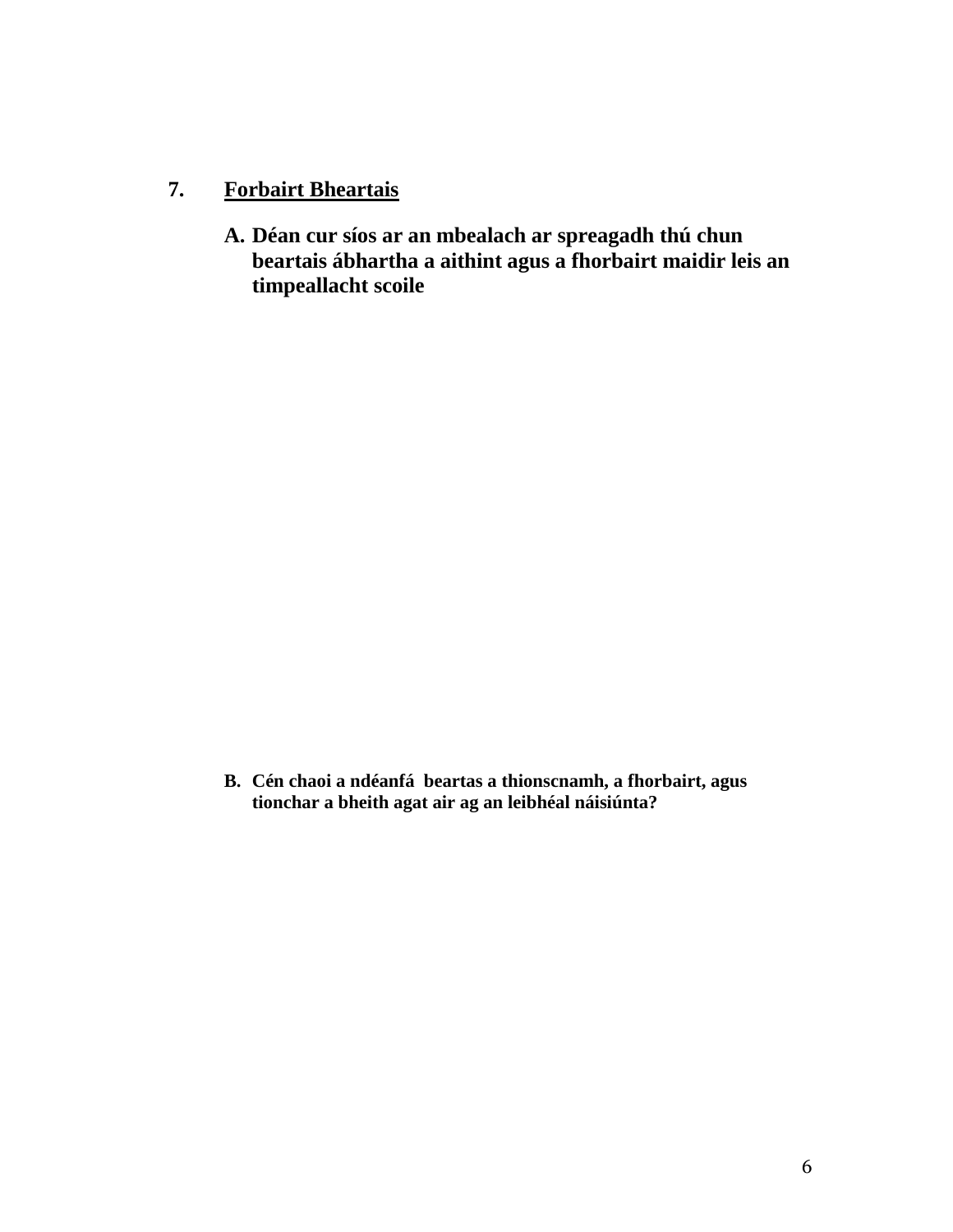#### **7. Forbairt Bheartais**

**A. Déan cur síos ar an mbealach ar spreagadh thú chun beartais ábhartha a aithint agus a fhorbairt maidir leis an timpeallacht scoile**

**B. Cén chaoi a ndéanfá beartas a thionscnamh, a fhorbairt, agus tionchar a bheith agat air ag an leibhéal náisiúnta?**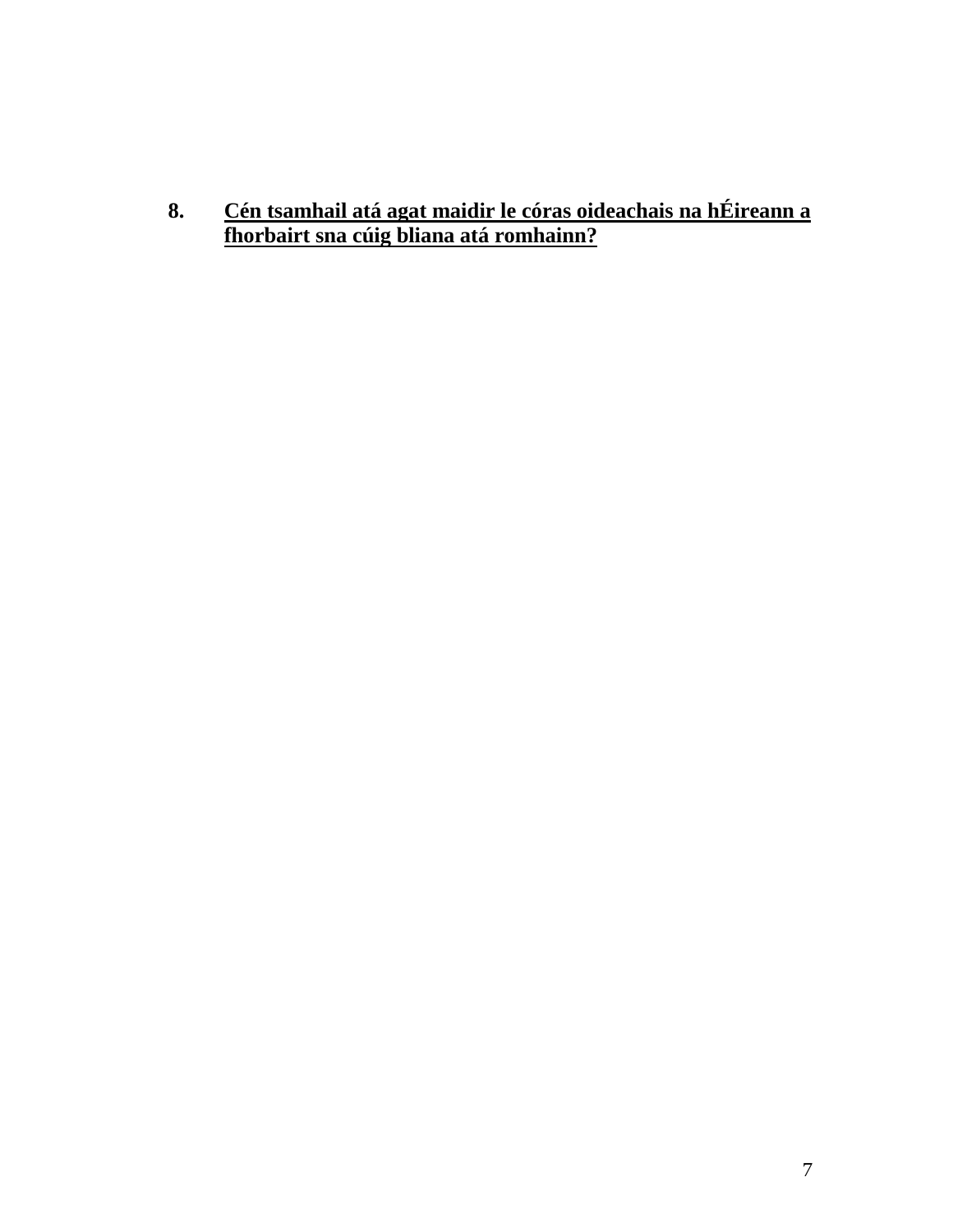**8. Cén tsamhail atá agat maidir le córas oideachais na hÉireann a fhorbairt sna cúig bliana atá romhainn?**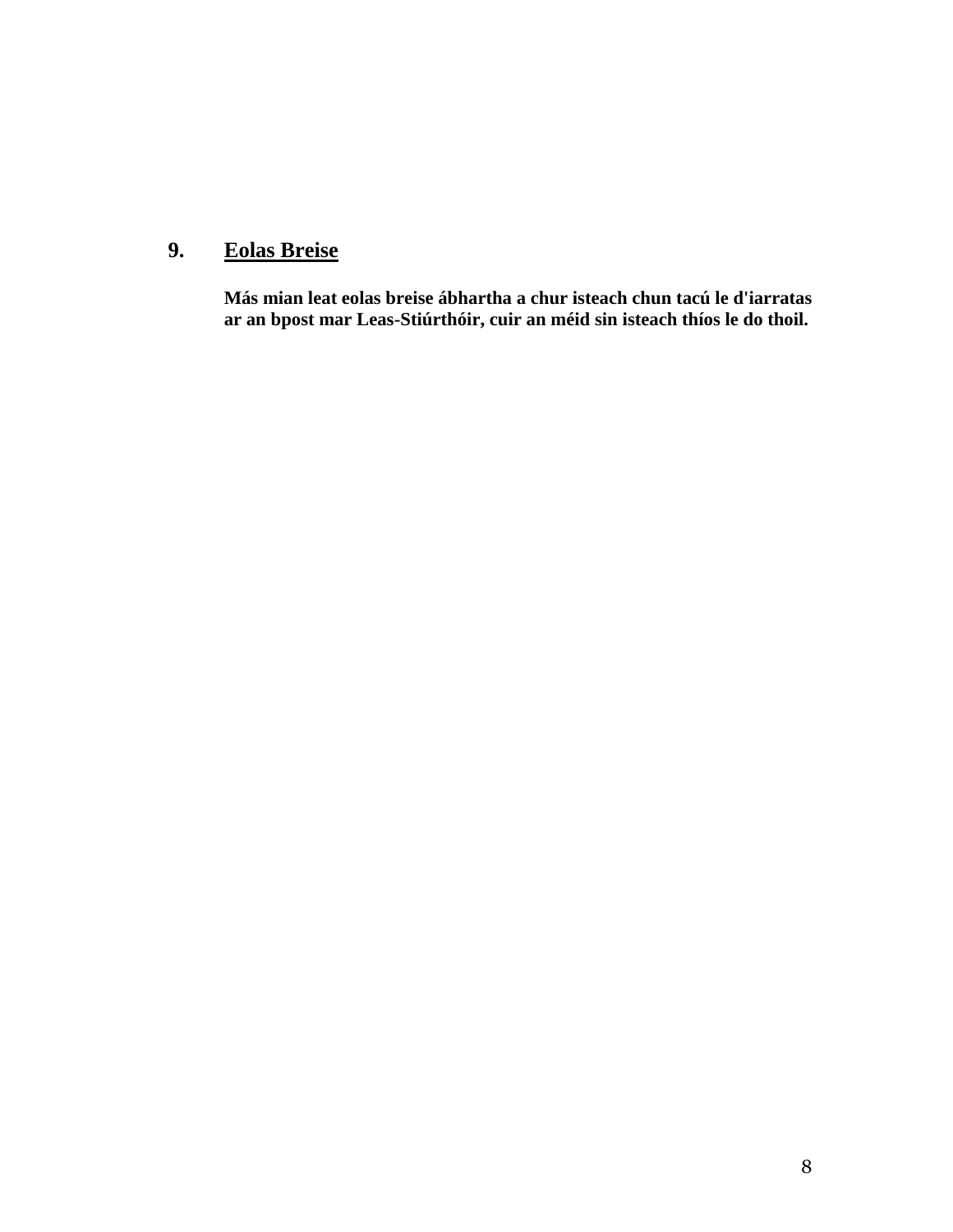# **9. Eolas Breise**

**Más mian leat eolas breise ábhartha a chur isteach chun tacú le d'iarratas ar an bpost mar Leas-Stiúrthóir, cuir an méid sin isteach thíos le do thoil.**